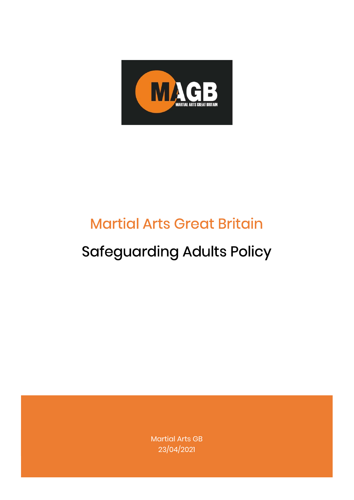

## Martial Arts Great Britain

# Safeguarding Adults Policy

Martial Arts GB 23/04/2021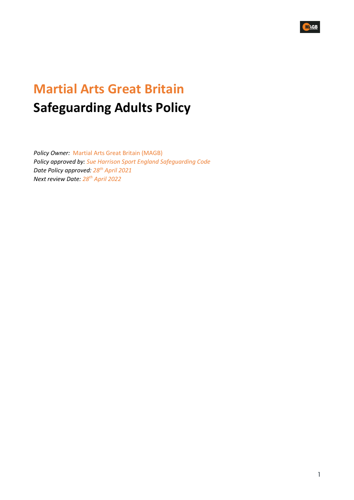

## Martial Arts Great Britain Safeguarding Adults Policy

Policy Owner: Martial Arts Great Britain (MAGB) Policy approved by: Sue Harrison Sport England Safeguarding Code Date Policy approved: 28<sup>th</sup> April 2021 Next review Date: 28<sup>th</sup> April 2022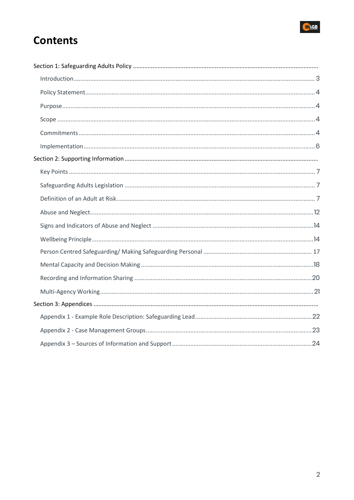

## **Contents**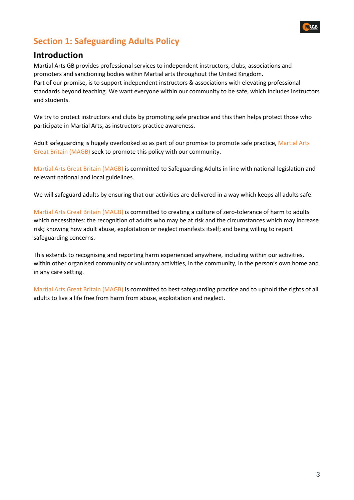

## Section 1: Safeguarding Adults Policy

### Introduction

Martial Arts GB provides professional services to independent instructors, clubs, associations and promoters and sanctioning bodies within Martial arts throughout the United Kingdom. Part of our promise, is to support independent instructors & associations with elevating professional standards beyond teaching. We want everyone within our community to be safe, which includes instructors and students.

We try to protect instructors and clubs by promoting safe practice and this then helps protect those who participate in Martial Arts, as instructors practice awareness.

Adult safeguarding is hugely overlooked so as part of our promise to promote safe practice, Martial Arts Great Britain (MAGB) seek to promote this policy with our community.

Martial Arts Great Britain (MAGB) is committed to Safeguarding Adults in line with national legislation and relevant national and local guidelines.

We will safeguard adults by ensuring that our activities are delivered in a way which keeps all adults safe.

Martial Arts Great Britain (MAGB) is committed to creating a culture of zero-tolerance of harm to adults which necessitates: the recognition of adults who may be at risk and the circumstances which may increase risk; knowing how adult abuse, exploitation or neglect manifests itself; and being willing to report safeguarding concerns.

This extends to recognising and reporting harm experienced anywhere, including within our activities, within other organised community or voluntary activities, in the community, in the person's own home and in any care setting.

Martial Arts Great Britain (MAGB) is committed to best safeguarding practice and to uphold the rights of all adults to live a life free from harm from abuse, exploitation and neglect.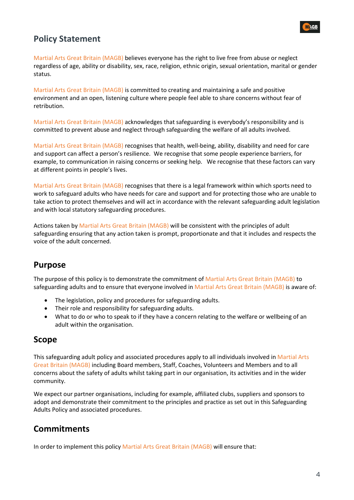

## Policy Statement

Martial Arts Great Britain (MAGB) believes everyone has the right to live free from abuse or neglect regardless of age, ability or disability, sex, race, religion, ethnic origin, sexual orientation, marital or gender status.

Martial Arts Great Britain (MAGB) is committed to creating and maintaining a safe and positive environment and an open, listening culture where people feel able to share concerns without fear of retribution.

Martial Arts Great Britain (MAGB) acknowledges that safeguarding is everybody's responsibility and is committed to prevent abuse and neglect through safeguarding the welfare of all adults involved.

Martial Arts Great Britain (MAGB) recognises that health, well-being, ability, disability and need for care and support can affect a person's resilience. We recognise that some people experience barriers, for example, to communication in raising concerns or seeking help. We recognise that these factors can vary at different points in people's lives.

Martial Arts Great Britain (MAGB) recognises that there is a legal framework within which sports need to work to safeguard adults who have needs for care and support and for protecting those who are unable to take action to protect themselves and will act in accordance with the relevant safeguarding adult legislation and with local statutory safeguarding procedures.

Actions taken by Martial Arts Great Britain (MAGB) will be consistent with the principles of adult safeguarding ensuring that any action taken is prompt, proportionate and that it includes and respects the voice of the adult concerned.

## Purpose

The purpose of this policy is to demonstrate the commitment of Martial Arts Great Britain (MAGB) to safeguarding adults and to ensure that everyone involved in Martial Arts Great Britain (MAGB) is aware of:

- The legislation, policy and procedures for safeguarding adults.
- Their role and responsibility for safeguarding adults.
- What to do or who to speak to if they have a concern relating to the welfare or wellbeing of an adult within the organisation.

## Scope

This safeguarding adult policy and associated procedures apply to all individuals involved in Martial Arts Great Britain (MAGB) including Board members, Staff, Coaches, Volunteers and Members and to all concerns about the safety of adults whilst taking part in our organisation, its activities and in the wider community.

We expect our partner organisations, including for example, affiliated clubs, suppliers and sponsors to adopt and demonstrate their commitment to the principles and practice as set out in this Safeguarding Adults Policy and associated procedures.

## **Commitments**

In order to implement this policy Martial Arts Great Britain (MAGB) will ensure that: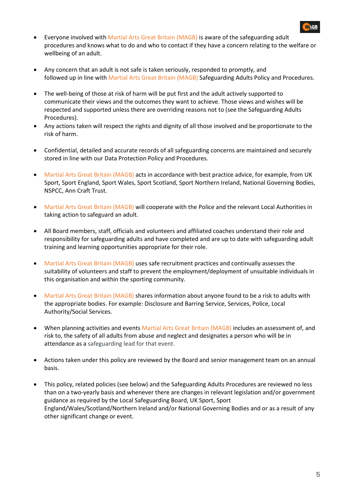

- Everyone involved with Martial Arts Great Britain (MAGB) is aware of the safeguarding adult procedures and knows what to do and who to contact if they have a concern relating to the welfare or wellbeing of an adult.
- Any concern that an adult is not safe is taken seriously, responded to promptly, and followed up in line with Martial Arts Great Britain (MAGB) Safeguarding Adults Policy and Procedures.
- The well-being of those at risk of harm will be put first and the adult actively supported to communicate their views and the outcomes they want to achieve. Those views and wishes will be respected and supported unless there are overriding reasons not to (see the Safeguarding Adults Procedures).
- Any actions taken will respect the rights and dignity of all those involved and be proportionate to the risk of harm.
- Confidential, detailed and accurate records of all safeguarding concerns are maintained and securely stored in line with our Data Protection Policy and Procedures.
- Martial Arts Great Britain (MAGB) acts in accordance with best practice advice, for example, from UK Sport, Sport England, Sport Wales, Sport Scotland, Sport Northern Ireland, National Governing Bodies, NSPCC, Ann Craft Trust.
- Martial Arts Great Britain (MAGB) will cooperate with the Police and the relevant Local Authorities in taking action to safeguard an adult.
- All Board members, staff, officials and volunteers and affiliated coaches understand their role and responsibility for safeguarding adults and have completed and are up to date with safeguarding adult training and learning opportunities appropriate for their role.
- Martial Arts Great Britain (MAGB) uses safe recruitment practices and continually assesses the suitability of volunteers and staff to prevent the employment/deployment of unsuitable individuals in this organisation and within the sporting community.
- Martial Arts Great Britain (MAGB) shares information about anyone found to be a risk to adults with the appropriate bodies. For example: Disclosure and Barring Service, Services, Police, Local Authority/Social Services.
- When planning activities and events Martial Arts Great Britain (MAGB) includes an assessment of, and risk to, the safety of all adults from abuse and neglect and designates a person who will be in attendance as a safeguarding lead for that event.
- Actions taken under this policy are reviewed by the Board and senior management team on an annual basis.
- This policy, related policies (see below) and the Safeguarding Adults Procedures are reviewed no less than on a two-yearly basis and whenever there are changes in relevant legislation and/or government guidance as required by the Local Safeguarding Board, UK Sport, Sport England/Wales/Scotland/Northern Ireland and/or National Governing Bodies and or as a result of any other significant change or event.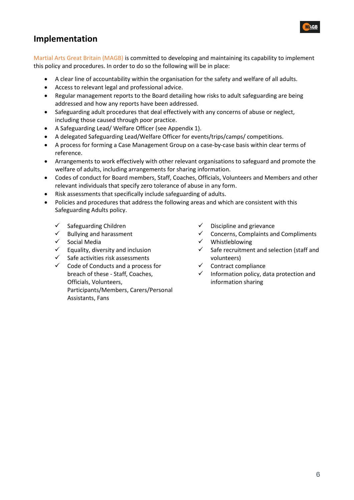

## Implementation

Martial Arts Great Britain (MAGB) is committed to developing and maintaining its capability to implement this policy and procedures. In order to do so the following will be in place:

- A clear line of accountability within the organisation for the safety and welfare of all adults.
- Access to relevant legal and professional advice.
- Regular management reports to the Board detailing how risks to adult safeguarding are being addressed and how any reports have been addressed.
- Safeguarding adult procedures that deal effectively with any concerns of abuse or neglect, including those caused through poor practice.
- A Safeguarding Lead/ Welfare Officer (see Appendix 1).
- A delegated Safeguarding Lead/Welfare Officer for events/trips/camps/ competitions.
- A process for forming a Case Management Group on a case-by-case basis within clear terms of reference.
- Arrangements to work effectively with other relevant organisations to safeguard and promote the welfare of adults, including arrangements for sharing information.
- Codes of conduct for Board members, Staff, Coaches, Officials, Volunteers and Members and other relevant individuals that specify zero tolerance of abuse in any form.
- Risk assessments that specifically include safeguarding of adults.
- Policies and procedures that address the following areas and which are consistent with this Safeguarding Adults policy.
	- $\checkmark$  Safeguarding Children
	- $\checkmark$  Bullying and harassment
	- $\checkmark$  Social Media
	- $\checkmark$  Equality, diversity and inclusion
	- $\checkmark$  Safe activities risk assessments
	- $\checkmark$  Code of Conducts and a process for breach of these - Staff, Coaches, Officials, Volunteers, Participants/Members, Carers/Personal Assistants, Fans
- Discipline and grievance
- Concerns, Complaints and Compliments
- Whistleblowing
- Safe recruitment and selection (staff and volunteers)
- Contract compliance
- $\checkmark$  Information policy, data protection and information sharing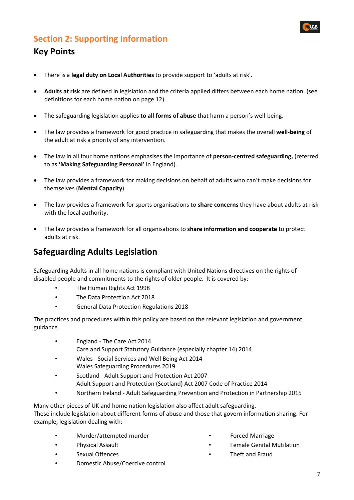

## Section 2: Supporting Information

## Key Points

- There is a legal duty on Local Authorities to provide support to 'adults at risk'.
- Adults at risk are defined in legislation and the criteria applied differs between each home nation. (see definitions for each home nation on page 12).
- The safeguarding legislation applies to all forms of abuse that harm a person's well-being.
- The law provides a framework for good practice in safeguarding that makes the overall well-being of the adult at risk a priority of any intervention.
- The law in all four home nations emphasises the importance of **person-centred safeguarding,** (referred to as 'Making Safeguarding Personal' in England).
- The law provides a framework for making decisions on behalf of adults who can't make decisions for themselves (Mental Capacity).
- The law provides a framework for sports organisations to share concerns they have about adults at risk with the local authority.
- The law provides a framework for all organisations to share information and cooperate to protect adults at risk.

## Safeguarding Adults Legislation

Safeguarding Adults in all home nations is compliant with United Nations directives on the rights of disabled people and commitments to the rights of older people. It is covered by:

- The Human Rights Act 1998
- The Data Protection Act 2018
- General Data Protection Regulations 2018

The practices and procedures within this policy are based on the relevant legislation and government guidance.

- England The Care Act 2014
	- Care and Support Statutory Guidance (especially chapter 14) 2014
- Wales Social Services and Well Being Act 2014 Wales Safeguarding Procedures 2019
- Scotland Adult Support and Protection Act 2007 Adult Support and Protection (Scotland) Act 2007 Code of Practice 2014
- Northern Ireland Adult Safeguarding Prevention and Protection in Partnership 2015

Many other pieces of UK and home nation legislation also affect adult safeguarding. These include legislation about different forms of abuse and those that govern information sharing. For example, legislation dealing with:

- Murder/attempted murder
- Physical Assault
- Sexual Offences
- Domestic Abuse/Coercive control
- Forced Marriage
- Female Genital Mutilation
- Theft and Fraud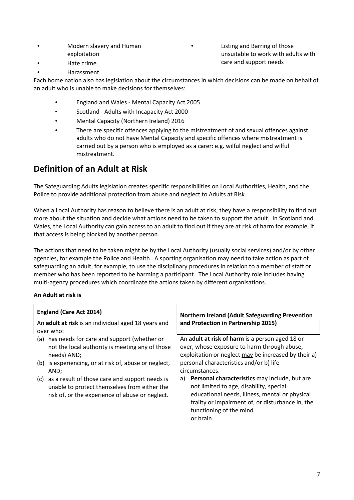• Modern slavery and Human exploitation

• Listing and Barring of those unsuitable to work with adults with care and support needs

• Hate crime • Harassment

Each home nation also has legislation about the circumstances in which decisions can be made on behalf of an adult who is unable to make decisions for themselves:

- England and Wales Mental Capacity Act 2005
- Scotland Adults with Incapacity Act 2000
- Mental Capacity (Northern Ireland) 2016
- There are specific offences applying to the mistreatment of and sexual offences against adults who do not have Mental Capacity and specific offences where mistreatment is carried out by a person who is employed as a carer: e.g. wilful neglect and wilful mistreatment.

## Definition of an Adult at Risk

The Safeguarding Adults legislation creates specific responsibilities on Local Authorities, Health, and the Police to provide additional protection from abuse and neglect to Adults at Risk.

When a Local Authority has reason to believe there is an adult at risk, they have a responsibility to find out more about the situation and decide what actions need to be taken to support the adult. In Scotland and Wales, the Local Authority can gain access to an adult to find out if they are at risk of harm for example, if that access is being blocked by another person.

The actions that need to be taken might be by the Local Authority (usually social services) and/or by other agencies, for example the Police and Health. A sporting organisation may need to take action as part of safeguarding an adult, for example, to use the disciplinary procedures in relation to a member of staff or member who has been reported to be harming a participant. The Local Authority role includes having multi-agency procedures which coordinate the actions taken by different organisations.

#### An Adult at risk is

| <b>England (Care Act 2014)</b>                                                                                                                        | <b>Northern Ireland (Adult Safeguarding Prevention</b>                                                                                                                                                                                    |  |
|-------------------------------------------------------------------------------------------------------------------------------------------------------|-------------------------------------------------------------------------------------------------------------------------------------------------------------------------------------------------------------------------------------------|--|
| An adult at risk is an individual aged 18 years and                                                                                                   | and Protection in Partnership 2015)                                                                                                                                                                                                       |  |
| over who:                                                                                                                                             |                                                                                                                                                                                                                                           |  |
| (a) has needs for care and support (whether or                                                                                                        | An adult at risk of harm is a person aged 18 or                                                                                                                                                                                           |  |
| not the local authority is meeting any of those                                                                                                       | over, whose exposure to harm through abuse,                                                                                                                                                                                               |  |
| needs) AND;                                                                                                                                           | exploitation or neglect may be increased by their a)                                                                                                                                                                                      |  |
| (b) is experiencing, or at risk of, abuse or neglect,                                                                                                 | personal characteristics and/or b) life                                                                                                                                                                                                   |  |
| AND;                                                                                                                                                  | circumstances.                                                                                                                                                                                                                            |  |
| (c) as a result of those care and support needs is<br>unable to protect themselves from either the<br>risk of, or the experience of abuse or neglect. | a) Personal characteristics may include, but are<br>not limited to age, disability, special<br>educational needs, illness, mental or physical<br>frailty or impairment of, or disturbance in, the<br>functioning of the mind<br>or brain. |  |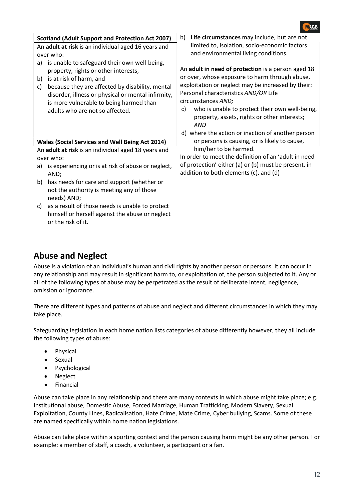| <b>Scotland (Adult Support and Protection Act 2007)</b><br>An adult at risk is an individual aged 16 years and<br>over who:<br>is unable to safeguard their own well-being,<br>a)<br>property, rights or other interests,<br>is at risk of harm, and<br>b)<br>because they are affected by disability, mental<br>c)<br>disorder, illness or physical or mental infirmity,<br>is more vulnerable to being harmed than<br>adults who are not so affected. | Life circumstances may include, but are not<br>b)<br>limited to, isolation, socio-economic factors<br>and environmental living conditions.<br>An adult in need of protection is a person aged 18<br>or over, whose exposure to harm through abuse,<br>exploitation or neglect may be increased by their:<br>Personal characteristics AND/OR Life<br>circumstances AND;<br>who is unable to protect their own well-being,<br>C)<br>property, assets, rights or other interests;<br><b>AND</b><br>d) where the action or inaction of another person |  |
|---------------------------------------------------------------------------------------------------------------------------------------------------------------------------------------------------------------------------------------------------------------------------------------------------------------------------------------------------------------------------------------------------------------------------------------------------------|---------------------------------------------------------------------------------------------------------------------------------------------------------------------------------------------------------------------------------------------------------------------------------------------------------------------------------------------------------------------------------------------------------------------------------------------------------------------------------------------------------------------------------------------------|--|
| <b>Wales (Social Services and Well Being Act 2014)</b><br>An adult at risk is an individual aged 18 years and<br>over who:<br>is experiencing or is at risk of abuse or neglect,<br>a)<br>AND;<br>has needs for care and support (whether or<br>b)<br>not the authority is meeting any of those<br>needs) AND;<br>as a result of those needs is unable to protect<br>C)<br>himself or herself against the abuse or neglect<br>or the risk of it.        | or persons is causing, or is likely to cause,<br>him/her to be harmed.<br>In order to meet the definition of an 'adult in need<br>of protection' either (a) or (b) must be present, in<br>addition to both elements (c), and (d)                                                                                                                                                                                                                                                                                                                  |  |

## Abuse and Neglect

Abuse is a violation of an individual's human and civil rights by another person or persons. It can occur in any relationship and may result in significant harm to, or exploitation of, the person subjected to it. Any or all of the following types of abuse may be perpetrated as the result of deliberate intent, negligence, omission or ignorance.

There are different types and patterns of abuse and neglect and different circumstances in which they may take place.

Safeguarding legislation in each home nation lists categories of abuse differently however, they all include the following types of abuse:

- Physical
- Sexual
- Psychological
- Neglect
- Financial

Abuse can take place in any relationship and there are many contexts in which abuse might take place; e.g. Institutional abuse, Domestic Abuse, Forced Marriage, Human Trafficking, Modern Slavery, Sexual Exploitation, County Lines, Radicalisation, Hate Crime, Mate Crime, Cyber bullying, Scams. Some of these are named specifically within home nation legislations.

Abuse can take place within a sporting context and the person causing harm might be any other person. For example: a member of staff, a coach, a volunteer, a participant or a fan.

**MAGB**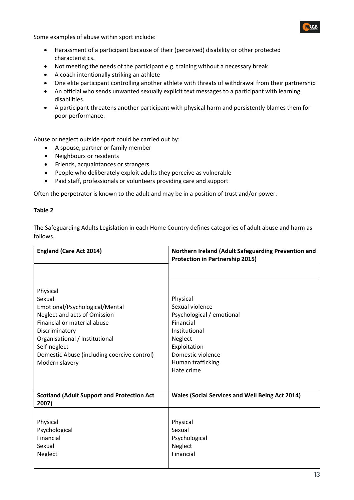Some examples of abuse within sport include:



- Harassment of a participant because of their (perceived) disability or other protected characteristics.
- Not meeting the needs of the participant e.g. training without a necessary break.
- A coach intentionally striking an athlete
- One elite participant controlling another athlete with threats of withdrawal from their partnership
- An official who sends unwanted sexually explicit text messages to a participant with learning disabilities.
- A participant threatens another participant with physical harm and persistently blames them for poor performance.

Abuse or neglect outside sport could be carried out by:

- A spouse, partner or family member
- Neighbours or residents
- Friends, acquaintances or strangers
- People who deliberately exploit adults they perceive as vulnerable
- Paid staff, professionals or volunteers providing care and support

Often the perpetrator is known to the adult and may be in a position of trust and/or power.

#### Table 2

The Safeguarding Adults Legislation in each Home Country defines categories of adult abuse and harm as follows.

| <b>England (Care Act 2014)</b>                             | Northern Ireland (Adult Safeguarding Prevention and<br><b>Protection in Partnership 2015)</b> |
|------------------------------------------------------------|-----------------------------------------------------------------------------------------------|
| Physical                                                   | Physical                                                                                      |
| Sexual                                                     | Sexual violence                                                                               |
| Emotional/Psychological/Mental                             | Psychological / emotional                                                                     |
| Neglect and acts of Omission                               | Financial                                                                                     |
| Financial or material abuse                                | Institutional                                                                                 |
| Discriminatory                                             | Neglect                                                                                       |
| Organisational / Institutional                             | Exploitation                                                                                  |
| Self-neglect                                               | Domestic violence                                                                             |
| Domestic Abuse (including coercive control)                | Human trafficking                                                                             |
| Modern slavery                                             | Hate crime                                                                                    |
| <b>Scotland (Adult Support and Protection Act</b><br>2007) | <b>Wales (Social Services and Well Being Act 2014)</b>                                        |
| Physical                                                   | Physical                                                                                      |
| Psychological                                              | Sexual                                                                                        |
| Financial                                                  | Psychological                                                                                 |
| Sexual                                                     | Neglect                                                                                       |
| Neglect                                                    | Financial                                                                                     |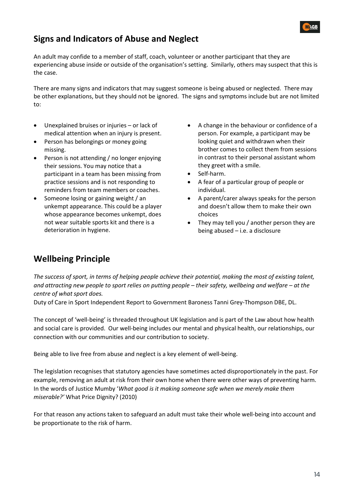

## Signs and Indicators of Abuse and Neglect

An adult may confide to a member of staff, coach, volunteer or another participant that they are experiencing abuse inside or outside of the organisation's setting. Similarly, others may suspect that this is the case.

There are many signs and indicators that may suggest someone is being abused or neglected. There may be other explanations, but they should not be ignored. The signs and symptoms include but are not limited to:

- Unexplained bruises or injuries or lack of medical attention when an injury is present.
- Person has belongings or money going missing.
- Person is not attending / no longer enjoying their sessions. You may notice that a participant in a team has been missing from practice sessions and is not responding to reminders from team members or coaches.
- Someone losing or gaining weight / an unkempt appearance. This could be a player whose appearance becomes unkempt, does not wear suitable sports kit and there is a deterioration in hygiene.
- A change in the behaviour or confidence of a person. For example, a participant may be looking quiet and withdrawn when their brother comes to collect them from sessions in contrast to their personal assistant whom they greet with a smile.
- Self-harm.
- A fear of a particular group of people or individual.
- A parent/carer always speaks for the person and doesn't allow them to make their own choices
- They may tell you / another person they are being abused – i.e. a disclosure

## Wellbeing Principle

The success of sport, in terms of helping people achieve their potential, making the most of existing talent, and attracting new people to sport relies on putting people – their safety, wellbeing and welfare – at the centre of what sport does.

Duty of Care in Sport Independent Report to Government Baroness Tanni Grey-Thompson DBE, DL.

The concept of 'well-being' is threaded throughout UK legislation and is part of the Law about how health and social care is provided. Our well-being includes our mental and physical health, our relationships, our connection with our communities and our contribution to society.

Being able to live free from abuse and neglect is a key element of well-being.

The legislation recognises that statutory agencies have sometimes acted disproportionately in the past. For example, removing an adult at risk from their own home when there were other ways of preventing harm. In the words of Justice Mumby 'What good is it making someone safe when we merely make them miserable?' What Price Dignity? (2010)

For that reason any actions taken to safeguard an adult must take their whole well-being into account and be proportionate to the risk of harm.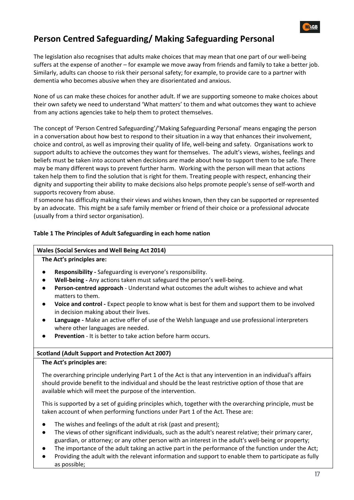

## Person Centred Safeguarding/ Making Safeguarding Personal

The legislation also recognises that adults make choices that may mean that one part of our well-being suffers at the expense of another – for example we move away from friends and family to take a better job. Similarly, adults can choose to risk their personal safety; for example, to provide care to a partner with dementia who becomes abusive when they are disorientated and anxious.

None of us can make these choices for another adult. If we are supporting someone to make choices about their own safety we need to understand 'What matters' to them and what outcomes they want to achieve from any actions agencies take to help them to protect themselves.

The concept of 'Person Centred Safeguarding'/'Making Safeguarding Personal' means engaging the person in a conversation about how best to respond to their situation in a way that enhances their involvement, choice and control, as well as improving their quality of life, well-being and safety. Organisations work to support adults to achieve the outcomes they want for themselves. The adult's views, wishes, feelings and beliefs must be taken into account when decisions are made about how to support them to be safe. There may be many different ways to prevent further harm. Working with the person will mean that actions taken help them to find the solution that is right for them. Treating people with respect, enhancing their dignity and supporting their ability to make decisions also helps promote people's sense of self-worth and supports recovery from abuse.

If someone has difficulty making their views and wishes known, then they can be supported or represented by an advocate. This might be a safe family member or friend of their choice or a professional advocate (usually from a third sector organisation).

#### Table 1 The Principles of Adult Safeguarding in each home nation

#### Wales (Social Services and Well Being Act 2014)

The Act's principles are:

- Responsibility Safeguarding is everyone's responsibility.
- Well-being Any actions taken must safeguard the person's well-being.
- Person-centred approach Understand what outcomes the adult wishes to achieve and what matters to them.
- Voice and control Expect people to know what is best for them and support them to be involved in decision making about their lives.
- Language Make an active offer of use of the Welsh language and use professional interpreters where other languages are needed.
- **Prevention** It is better to take action before harm occurs.

#### Scotland (Adult Support and Protection Act 2007)

#### The Act's principles are:

The overarching principle underlying Part 1 of the Act is that any intervention in an individual's affairs should provide benefit to the individual and should be the least restrictive option of those that are available which will meet the purpose of the intervention.

This is supported by a set of guiding principles which, together with the overarching principle, must be taken account of when performing functions under Part 1 of the Act. These are:

- The wishes and feelings of the adult at risk (past and present);
- The views of other significant individuals, such as the adult's nearest relative; their primary carer, guardian, or attorney; or any other person with an interest in the adult's well-being or property;
- The importance of the adult taking an active part in the performance of the function under the Act;
- Providing the adult with the relevant information and support to enable them to participate as fully as possible;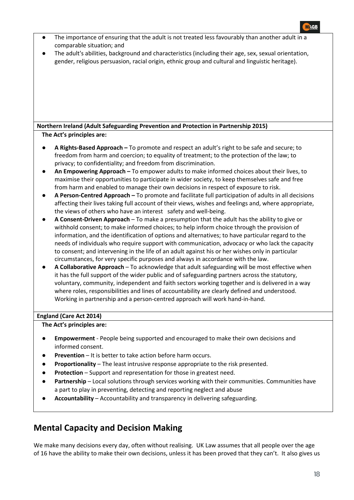| <b>MAGB</b>                                                                                                     |
|-----------------------------------------------------------------------------------------------------------------|
| The importance of ensuring that the adult is not treated less favourably than another adult in a                |
| comparable situation; and                                                                                       |
| The adult's abilities, background and characteristics (including their age, sex, sexual orientation,            |
| gender, religious persuasion, racial origin, ethnic group and cultural and linguistic heritage).                |
|                                                                                                                 |
|                                                                                                                 |
|                                                                                                                 |
|                                                                                                                 |
|                                                                                                                 |
|                                                                                                                 |
| Northern Ireland (Adult Safeguarding Prevention and Protection in Partnership 2015)                             |
| The Act's principles are:                                                                                       |
| A Rights-Based Approach - To promote and respect an adult's right to be safe and secure; to                     |
| freedom from harm and coercion; to equality of treatment; to the protection of the law; to                      |
| privacy; to confidentiality; and freedom from discrimination.                                                   |
| An Empowering Approach - To empower adults to make informed choices about their lives, to                       |
| maximise their opportunities to participate in wider society, to keep themselves safe and free                  |
| from harm and enabled to manage their own decisions in respect of exposure to risk.                             |
| A Person-Centred Approach - To promote and facilitate full participation of adults in all decisions             |
| affecting their lives taking full account of their views, wishes and feelings and, where appropriate,           |
| the views of others who have an interest safety and well-being.                                                 |
| A Consent-Driven Approach - To make a presumption that the adult has the ability to give or                     |
| withhold consent; to make informed choices; to help inform choice through the provision of                      |
| information, and the identification of options and alternatives; to have particular regard to the               |
| needs of individuals who require support with communication, advocacy or who lack the capacity                  |
| to consent; and intervening in the life of an adult against his or her wishes only in particular                |
| circumstances, for very specific purposes and always in accordance with the law.                                |
| A Collaborative Approach - To acknowledge that adult safeguarding will be most effective when                   |
| it has the full support of the wider public and of safeguarding partners across the statutory,                  |
| voluntary, community, independent and faith sectors working together and is delivered in a way                  |
| where roles, responsibilities and lines of accountability are clearly defined and understood.                   |
| Working in partnership and a person-centred approach will work hand-in-hand.                                    |
|                                                                                                                 |
| <b>England (Care Act 2014)</b><br>The Act's principles are:                                                     |
|                                                                                                                 |
| <b>Empowerment</b> - People being supported and encouraged to make their own decisions and<br>informed consent. |
|                                                                                                                 |
| <b>Prevention</b> - It is better to take action before harm occurs.                                             |
| Proportionality - The least intrusive response appropriate to the risk presented.                               |
| Protection - Support and representation for those in greatest need.                                             |
| Partnership - Local solutions through services working with their communities. Communities have                 |
| a part to play in preventing, detecting and reporting neglect and abuse                                         |
| Accountability - Accountability and transparency in delivering safeguarding.                                    |

We make many decisions every day, often without realising. UK Law assumes that all people over the age of 16 have the ability to make their own decisions, unless it has been proved that they can't. It also gives us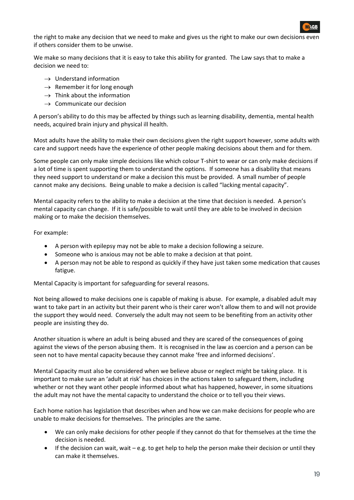the right to make any decision that we need to make and gives us the right to make our own decisions even if others consider them to be unwise.

We make so many decisions that it is easy to take this ability for granted. The Law says that to make a decision we need to:

- $\rightarrow$  Understand information
- $\rightarrow$  Remember it for long enough
- $\rightarrow$  Think about the information
- $\rightarrow$  Communicate our decision

A person's ability to do this may be affected by things such as learning disability, dementia, mental health needs, acquired brain injury and physical ill health.

Most adults have the ability to make their own decisions given the right support however, some adults with care and support needs have the experience of other people making decisions about them and for them.

Some people can only make simple decisions like which colour T-shirt to wear or can only make decisions if a lot of time is spent supporting them to understand the options. If someone has a disability that means they need support to understand or make a decision this must be provided. A small number of people cannot make any decisions. Being unable to make a decision is called "lacking mental capacity".

Mental capacity refers to the ability to make a decision at the time that decision is needed. A person's mental capacity can change. If it is safe/possible to wait until they are able to be involved in decision making or to make the decision themselves.

For example:

- A person with epilepsy may not be able to make a decision following a seizure.
- Someone who is anxious may not be able to make a decision at that point.
- A person may not be able to respond as quickly if they have just taken some medication that causes fatigue.

Mental Capacity is important for safeguarding for several reasons.

Not being allowed to make decisions one is capable of making is abuse. For example, a disabled adult may want to take part in an activity but their parent who is their carer won't allow them to and will not provide the support they would need. Conversely the adult may not seem to be benefiting from an activity other people are insisting they do.

Another situation is where an adult is being abused and they are scared of the consequences of going against the views of the person abusing them. It is recognised in the law as coercion and a person can be seen not to have mental capacity because they cannot make 'free and informed decisions'.

Mental Capacity must also be considered when we believe abuse or neglect might be taking place. It is important to make sure an 'adult at risk' has choices in the actions taken to safeguard them, including whether or not they want other people informed about what has happened, however, in some situations the adult may not have the mental capacity to understand the choice or to tell you their views.

Each home nation has legislation that describes when and how we can make decisions for people who are unable to make decisions for themselves. The principles are the same.

- We can only make decisions for other people if they cannot do that for themselves at the time the decision is needed.
- If the decision can wait, wait e.g. to get help to help the person make their decision or until they can make it themselves.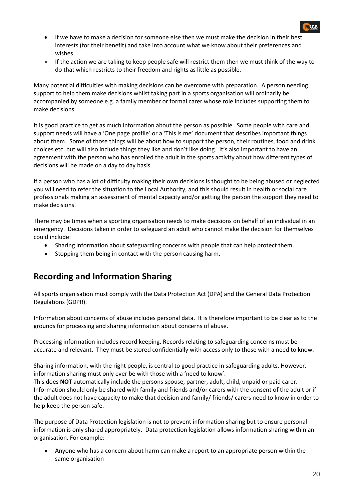- If we have to make a decision for someone else then we must make the decision in their best interests (for their benefit) and take into account what we know about their preferences and wishes.
- If the action we are taking to keep people safe will restrict them then we must think of the way to do that which restricts to their freedom and rights as little as possible.

Many potential difficulties with making decisions can be overcome with preparation. A person needing support to help them make decisions whilst taking part in a sports organisation will ordinarily be accompanied by someone e.g. a family member or formal carer whose role includes supporting them to make decisions.

It is good practice to get as much information about the person as possible. Some people with care and support needs will have a 'One page profile' or a 'This is me' document that describes important things about them. Some of those things will be about how to support the person, their routines, food and drink choices etc. but will also include things they like and don't like doing. It's also important to have an agreement with the person who has enrolled the adult in the sports activity about how different types of decisions will be made on a day to day basis.

If a person who has a lot of difficulty making their own decisions is thought to be being abused or neglected you will need to refer the situation to the Local Authority, and this should result in health or social care professionals making an assessment of mental capacity and/or getting the person the support they need to make decisions.

There may be times when a sporting organisation needs to make decisions on behalf of an individual in an emergency. Decisions taken in order to safeguard an adult who cannot make the decision for themselves could include:

- Sharing information about safeguarding concerns with people that can help protect them.
- Stopping them being in contact with the person causing harm.

## Recording and Information Sharing

All sports organisation must comply with the Data Protection Act (DPA) and the General Data Protection Regulations (GDPR).

Information about concerns of abuse includes personal data. It is therefore important to be clear as to the grounds for processing and sharing information about concerns of abuse.

Processing information includes record keeping. Records relating to safeguarding concerns must be accurate and relevant. They must be stored confidentially with access only to those with a need to know.

Sharing information, with the right people, is central to good practice in safeguarding adults. However, information sharing must only ever be with those with a 'need to know'.

This does NOT automatically include the persons spouse, partner, adult, child, unpaid or paid carer. Information should only be shared with family and friends and/or carers with the consent of the adult or if the adult does not have capacity to make that decision and family/ friends/ carers need to know in order to help keep the person safe.

The purpose of Data Protection legislation is not to prevent information sharing but to ensure personal information is only shared appropriately. Data protection legislation allows information sharing within an organisation. For example:

 Anyone who has a concern about harm can make a report to an appropriate person within the same organisation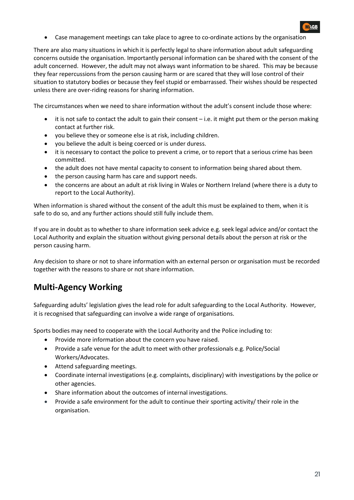Case management meetings can take place to agree to co-ordinate actions by the organisation

There are also many situations in which it is perfectly legal to share information about adult safeguarding concerns outside the organisation. Importantly personal information can be shared with the consent of the adult concerned. However, the adult may not always want information to be shared. This may be because they fear repercussions from the person causing harm or are scared that they will lose control of their situation to statutory bodies or because they feel stupid or embarrassed. Their wishes should be respected unless there are over-riding reasons for sharing information.

The circumstances when we need to share information without the adult's consent include those where:

- it is not safe to contact the adult to gain their consent i.e. it might put them or the person making contact at further risk.
- you believe they or someone else is at risk, including children.
- you believe the adult is being coerced or is under duress.
- it is necessary to contact the police to prevent a crime, or to report that a serious crime has been committed.
- the adult does not have mental capacity to consent to information being shared about them.
- the person causing harm has care and support needs.
- the concerns are about an adult at risk living in Wales or Northern Ireland (where there is a duty to report to the Local Authority).

When information is shared without the consent of the adult this must be explained to them, when it is safe to do so, and any further actions should still fully include them.

If you are in doubt as to whether to share information seek advice e.g. seek legal advice and/or contact the Local Authority and explain the situation without giving personal details about the person at risk or the person causing harm.

Any decision to share or not to share information with an external person or organisation must be recorded together with the reasons to share or not share information.

## Multi-Agency Working

Safeguarding adults' legislation gives the lead role for adult safeguarding to the Local Authority. However, it is recognised that safeguarding can involve a wide range of organisations.

Sports bodies may need to cooperate with the Local Authority and the Police including to:

- Provide more information about the concern you have raised.
- Provide a safe venue for the adult to meet with other professionals e.g. Police/Social Workers/Advocates.
- Attend safeguarding meetings.
- Coordinate internal investigations (e.g. complaints, disciplinary) with investigations by the police or other agencies.
- Share information about the outcomes of internal investigations.
- Provide a safe environment for the adult to continue their sporting activity/ their role in the organisation.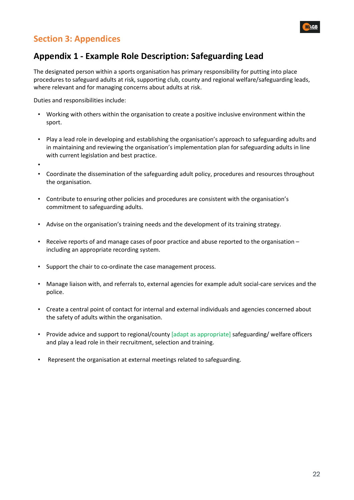



## Appendix 1 - Example Role Description: Safeguarding Lead

The designated person within a sports organisation has primary responsibility for putting into place procedures to safeguard adults at risk, supporting club, county and regional welfare/safeguarding leads, where relevant and for managing concerns about adults at risk.

Duties and responsibilities include:

- Working with others within the organisation to create a positive inclusive environment within the sport.
- Play a lead role in developing and establishing the organisation's approach to safeguarding adults and in maintaining and reviewing the organisation's implementation plan for safeguarding adults in line with current legislation and best practice.
- •
- Coordinate the dissemination of the safeguarding adult policy, procedures and resources throughout the organisation.
- Contribute to ensuring other policies and procedures are consistent with the organisation's commitment to safeguarding adults.
- Advise on the organisation's training needs and the development of its training strategy.
- Receive reports of and manage cases of poor practice and abuse reported to the organisation including an appropriate recording system.
- Support the chair to co-ordinate the case management process.
- Manage liaison with, and referrals to, external agencies for example adult social-care services and the police.
- Create a central point of contact for internal and external individuals and agencies concerned about the safety of adults within the organisation.
- Provide advice and support to regional/county [adapt as appropriate] safeguarding/ welfare officers and play a lead role in their recruitment, selection and training.
- Represent the organisation at external meetings related to safeguarding.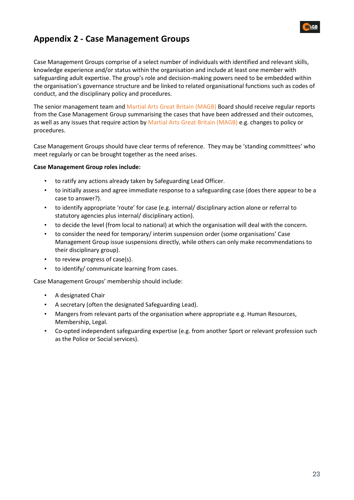## Appendix 2 - Case Management Groups

Case Management Groups comprise of a select number of individuals with identified and relevant skills, knowledge experience and/or status within the organisation and include at least one member with safeguarding adult expertise. The group's role and decision-making powers need to be embedded within the organisation's governance structure and be linked to related organisational functions such as codes of conduct, and the disciplinary policy and procedures.

The senior management team and Martial Arts Great Britain (MAGB) Board should receive regular reports from the Case Management Group summarising the cases that have been addressed and their outcomes, as well as any issues that require action by Martial Arts Great Britain (MAGB) e.g. changes to policy or procedures.

Case Management Groups should have clear terms of reference. They may be 'standing committees' who meet regularly or can be brought together as the need arises.

#### Case Management Group roles include:

- to ratify any actions already taken by Safeguarding Lead Officer.
- to initially assess and agree immediate response to a safeguarding case (does there appear to be a case to answer?).
- to identify appropriate 'route' for case (e.g. internal/ disciplinary action alone or referral to statutory agencies plus internal/ disciplinary action).
- to decide the level (from local to national) at which the organisation will deal with the concern.
- to consider the need for temporary/ interim suspension order (some organisations' Case Management Group issue suspensions directly, while others can only make recommendations to their disciplinary group).
- to review progress of case(s).
- to identify/ communicate learning from cases.

Case Management Groups' membership should include:

- A designated Chair
- A secretary (often the designated Safeguarding Lead).
- Mangers from relevant parts of the organisation where appropriate e.g. Human Resources, Membership, Legal.
- Co-opted independent safeguarding expertise (e.g. from another Sport or relevant profession such as the Police or Social services).



**MAGB**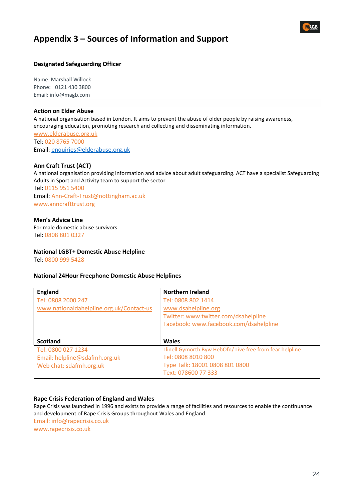## Appendix 3 – Sources of Information and Support



#### Designated Safeguarding Officer

Name: Marshall Willock Phone: 0121 430 3800 Email: info@magb.com

#### Action on Elder Abuse

A national organisation based in London. It aims to prevent the abuse of older people by raising awareness, encouraging education, promoting research and collecting and disseminating information.

www.elderabuse.org.uk Tel: 020 8765 7000 Email: enquiries@elderabuse.org.uk

#### Ann Craft Trust (ACT)

A national organisation providing information and advice about adult safeguarding. ACT have a specialist Safeguarding Adults in Sport and Activity team to support the sector Tel: 0115 951 5400 Email: Ann-Craft-Trust@nottingham.ac.uk www.anncrafttrust.org

#### Men's Advice Line

For male domestic abuse survivors Tel: 0808 801 0327

#### National LGBT+ Domestic Abuse Helpline

Tel: 0800 999 5428

#### National 24Hour Freephone Domestic Abuse Helplines

| <b>England</b>                           | <b>Northern Ireland</b>                                  |
|------------------------------------------|----------------------------------------------------------|
| Tel: 0808 2000 247                       | Tel: 0808 802 1414                                       |
| www.nationaldahelpline.org.uk/Contact-us | www.dsahelpline.org                                      |
|                                          | Twitter: www.twitter.com/dsahelpline                     |
|                                          | Facebook: www.facebook.com/dsahelpline                   |
|                                          |                                                          |
| <b>Scotland</b>                          | Wales                                                    |
| Tel: 0800 027 1234                       | Llinell Gymorth Byw HebOfn/ Live free from fear helpline |
| Email: helpline@sdafmh.org.uk            | Tel: 0808 8010 800                                       |
| Web chat: sdafmh.org.uk                  | Type Talk: 18001 0808 801 0800                           |
|                                          | Text: 078600 77 333                                      |

#### Rape Crisis Federation of England and Wales

Rape Crisis was launched in 1996 and exists to provide a range of facilities and resources to enable the continuance and development of Rape Crisis Groups throughout Wales and England.

Email: info@rapecrisis.co.uk

www.rapecrisis.co.uk